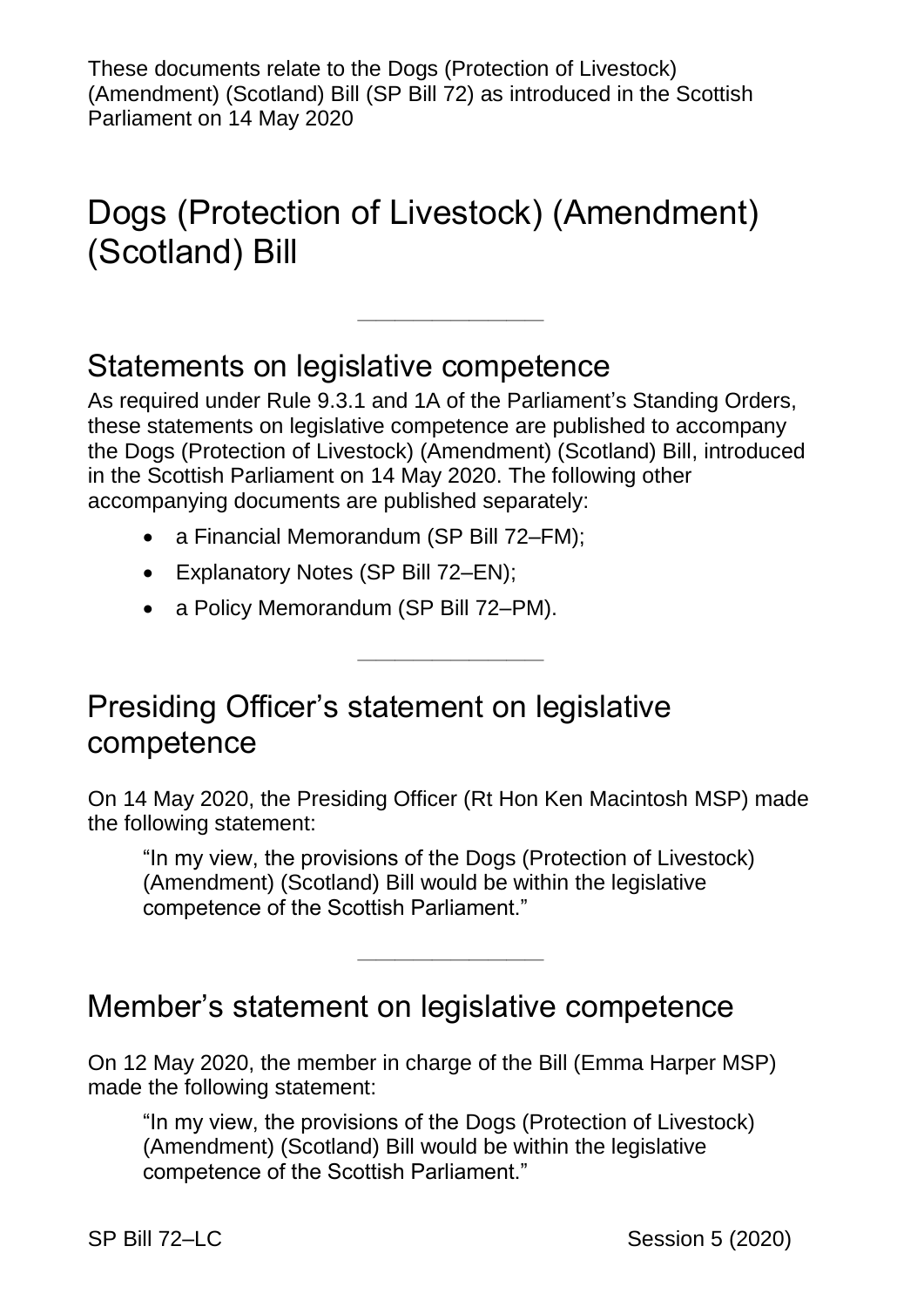These documents relate to the Dogs (Protection of Livestock) (Amendment) (Scotland) Bill (SP Bill 72) as introduced in the Scottish Parliament on 14 May 2020

# Dogs (Protection of Livestock) (Amendment) (Scotland) Bill

#### Statements on legislative competence

As required under Rule 9.3.1 and 1A of the Parliament's Standing Orders, these statements on legislative competence are published to accompany the Dogs (Protection of Livestock) (Amendment) (Scotland) Bill, introduced in the Scottish Parliament on 14 May 2020. The following other accompanying documents are published separately:

————————————————————

- a Financial Memorandum (SP Bill 72–FM);
- Explanatory Notes (SP Bill 72–EN);
- a Policy Memorandum (SP Bill 72–PM).

## Presiding Officer's statement on legislative competence

On 14 May 2020, the Presiding Officer (Rt Hon Ken Macintosh MSP) made the following statement:

————————————————————

"In my view, the provisions of the Dogs (Protection of Livestock) (Amendment) (Scotland) Bill would be within the legislative competence of the Scottish Parliament."

——————————

#### Member's statement on legislative competence

On 12 May 2020, the member in charge of the Bill (Emma Harper MSP) made the following statement:

"In my view, the provisions of the Dogs (Protection of Livestock) (Amendment) (Scotland) Bill would be within the legislative competence of the Scottish Parliament."